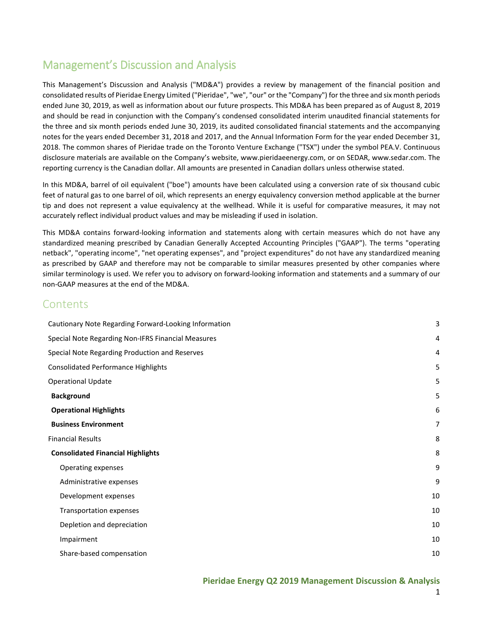## Management's Discussion and Analysis

This Management's Discussion and Analysis ("MD&A") provides a review by management of the financial position and consolidated results of Pieridae Energy Limited ("Pieridae", "we", "our" or the "Company") for the three and six month periods ended June 30, 2019, as well as information about our future prospects. This MD&A has been prepared as of August 8, 2019 and should be read in conjunction with the Company's condensed consolidated interim unaudited financial statements for the three and six month periods ended June 30, 2019, its audited consolidated financial statements and the accompanying notes for the years ended December 31, 2018 and 2017, and the Annual Information Form for the year ended December 31, 2018. The common shares of Pieridae trade on the Toronto Venture Exchange ("TSX") under the symbol PEA.V. Continuous disclosure materials are available on the Company's website, [www.pieridaeenergy.com,](http://www.pieridaeenergy.com/) or on SEDAR[, www.sedar.com.](http://www.sedar.com/) The reporting currency is the Canadian dollar. All amounts are presented in Canadian dollars unless otherwise stated.

In this MD&A, barrel of oil equivalent ("boe") amounts have been calculated using a conversion rate of six thousand cubic feet of natural gas to one barrel of oil, which represents an energy equivalency conversion method applicable at the burner tip and does not represent a value equivalency at the wellhead. While it is useful for comparative measures, it may not accurately reflect individual product values and may be misleading if used in isolation.

This MD&A contains forward-looking information and statements along with certain measures which do not have any standardized meaning prescribed by Canadian Generally Accepted Accounting Principles ("GAAP"). The terms "operating netback", "operating income", "net operating expenses", and "project expenditures" do not have any standardized meaning as prescribed by GAAP and therefore may not be comparable to similar measures presented by other companies where similar terminology is used. We refer you to advisory on forward-looking information and statements and a summary of our non-GAAP measures at the end of the MD&A.

## **Contents**

| Cautionary Note Regarding Forward-Looking Information | 3  |
|-------------------------------------------------------|----|
| Special Note Regarding Non-IFRS Financial Measures    | 4  |
| Special Note Regarding Production and Reserves        | 4  |
| <b>Consolidated Performance Highlights</b>            | 5  |
| <b>Operational Update</b>                             | 5  |
| <b>Background</b>                                     | 5  |
| <b>Operational Highlights</b>                         | 6  |
| <b>Business Environment</b>                           | 7  |
| <b>Financial Results</b>                              | 8  |
| <b>Consolidated Financial Highlights</b>              | 8  |
| Operating expenses                                    | 9  |
| Administrative expenses                               | 9  |
| Development expenses                                  | 10 |
| Transportation expenses                               | 10 |
| Depletion and depreciation                            | 10 |
| Impairment                                            | 10 |
| Share-based compensation                              | 10 |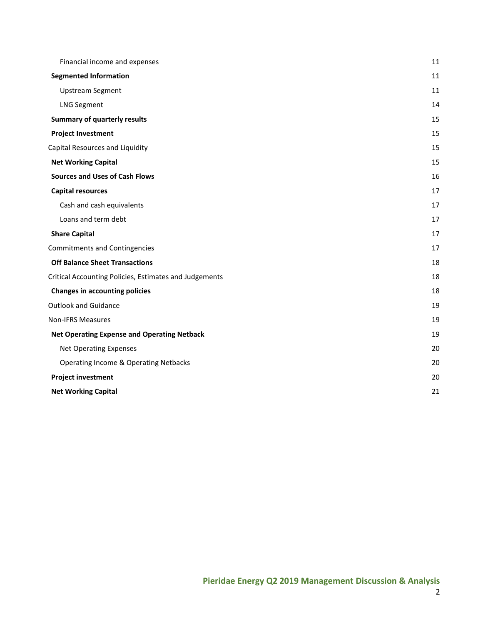| Financial income and expenses                          | 11 |
|--------------------------------------------------------|----|
| <b>Segmented Information</b>                           | 11 |
| <b>Upstream Segment</b>                                | 11 |
| <b>LNG Segment</b>                                     | 14 |
| <b>Summary of quarterly results</b>                    | 15 |
| <b>Project Investment</b>                              | 15 |
| Capital Resources and Liquidity                        | 15 |
| <b>Net Working Capital</b>                             | 15 |
| <b>Sources and Uses of Cash Flows</b>                  | 16 |
| <b>Capital resources</b>                               | 17 |
| Cash and cash equivalents                              | 17 |
| Loans and term debt                                    | 17 |
| <b>Share Capital</b>                                   | 17 |
| <b>Commitments and Contingencies</b>                   | 17 |
| <b>Off Balance Sheet Transactions</b>                  | 18 |
| Critical Accounting Policies, Estimates and Judgements | 18 |
| <b>Changes in accounting policies</b>                  | 18 |
| <b>Outlook and Guidance</b>                            | 19 |
| <b>Non-IFRS Measures</b>                               | 19 |
| <b>Net Operating Expense and Operating Netback</b>     | 19 |
| <b>Net Operating Expenses</b>                          | 20 |
| <b>Operating Income &amp; Operating Netbacks</b>       | 20 |
| <b>Project investment</b>                              | 20 |
| <b>Net Working Capital</b>                             | 21 |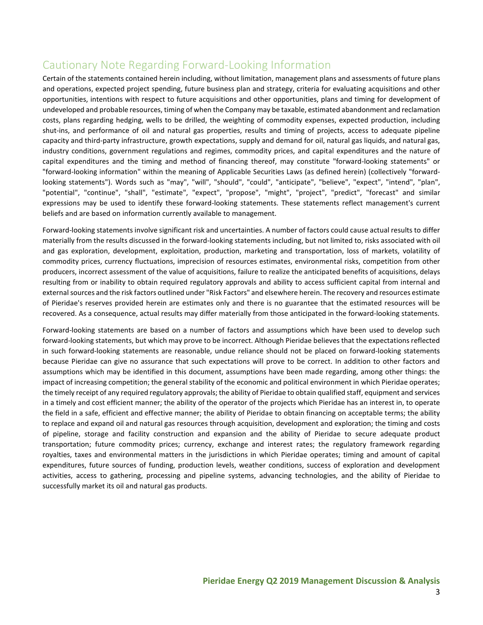# <span id="page-2-0"></span>Cautionary Note Regarding Forward-Looking Information

Certain of the statements contained herein including, without limitation, management plans and assessments of future plans and operations, expected project spending, future business plan and strategy, criteria for evaluating acquisitions and other opportunities, intentions with respect to future acquisitions and other opportunities, plans and timing for development of undeveloped and probable resources, timing of when the Company may be taxable, estimated abandonment and reclamation costs, plans regarding hedging, wells to be drilled, the weighting of commodity expenses, expected production, including shut-ins, and performance of oil and natural gas properties, results and timing of projects, access to adequate pipeline capacity and third-party infrastructure, growth expectations, supply and demand for oil, natural gas liquids, and natural gas, industry conditions, government regulations and regimes, commodity prices, and capital expenditures and the nature of capital expenditures and the timing and method of financing thereof, may constitute "forward-looking statements" or "forward-looking information" within the meaning of Applicable Securities Laws (as defined herein) (collectively "forwardlooking statements"). Words such as "may", "will", "should", "could", "anticipate", "believe", "expect", "intend", "plan", "potential", "continue", "shall", "estimate", "expect", "propose", "might", "project", "predict", "forecast" and similar expressions may be used to identify these forward-looking statements. These statements reflect management's current beliefs and are based on information currently available to management.

Forward-looking statements involve significant risk and uncertainties. A number of factors could cause actual results to differ materially from the results discussed in the forward-looking statements including, but not limited to, risks associated with oil and gas exploration, development, exploitation, production, marketing and transportation, loss of markets, volatility of commodity prices, currency fluctuations, imprecision of resources estimates, environmental risks, competition from other producers, incorrect assessment of the value of acquisitions, failure to realize the anticipated benefits of acquisitions, delays resulting from or inability to obtain required regulatory approvals and ability to access sufficient capital from internal and external sources and the risk factors outlined under "Risk Factors" and elsewhere herein. The recovery and resources estimate of Pieridae's reserves provided herein are estimates only and there is no guarantee that the estimated resources will be recovered. As a consequence, actual results may differ materially from those anticipated in the forward-looking statements.

Forward-looking statements are based on a number of factors and assumptions which have been used to develop such forward-looking statements, but which may prove to be incorrect. Although Pieridae believes that the expectations reflected in such forward-looking statements are reasonable, undue reliance should not be placed on forward-looking statements because Pieridae can give no assurance that such expectations will prove to be correct. In addition to other factors and assumptions which may be identified in this document, assumptions have been made regarding, among other things: the impact of increasing competition; the general stability of the economic and political environment in which Pieridae operates; the timely receipt of any required regulatory approvals; the ability of Pieridae to obtain qualified staff, equipment and services in a timely and cost efficient manner; the ability of the operator of the projects which Pieridae has an interest in, to operate the field in a safe, efficient and effective manner; the ability of Pieridae to obtain financing on acceptable terms; the ability to replace and expand oil and natural gas resources through acquisition, development and exploration; the timing and costs of pipeline, storage and facility construction and expansion and the ability of Pieridae to secure adequate product transportation; future commodity prices; currency, exchange and interest rates; the regulatory framework regarding royalties, taxes and environmental matters in the jurisdictions in which Pieridae operates; timing and amount of capital expenditures, future sources of funding, production levels, weather conditions, success of exploration and development activities, access to gathering, processing and pipeline systems, advancing technologies, and the ability of Pieridae to successfully market its oil and natural gas products.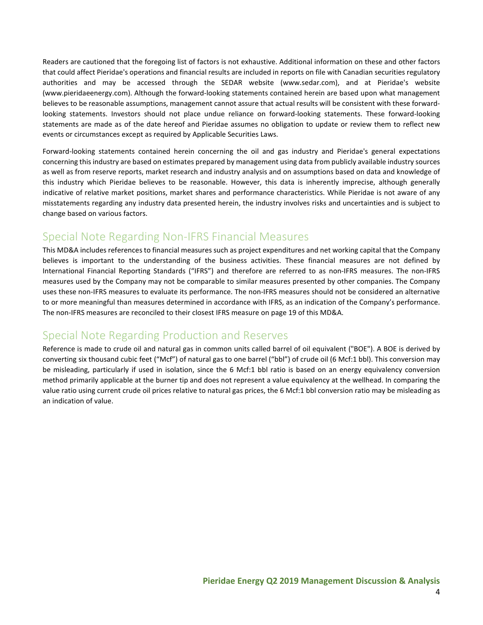Readers are cautioned that the foregoing list of factors is not exhaustive. Additional information on these and other factors that could affect Pieridae's operations and financial results are included in reports on file with Canadian securities regulatory authorities and may be accessed through the SEDAR website (www.sedar.com), and at Pieridae's website (www.pieridaeenergy.com). Although the forward-looking statements contained herein are based upon what management believes to be reasonable assumptions, management cannot assure that actual results will be consistent with these forwardlooking statements. Investors should not place undue reliance on forward-looking statements. These forward-looking statements are made as of the date hereof and Pieridae assumes no obligation to update or review them to reflect new events or circumstances except as required by Applicable Securities Laws.

Forward-looking statements contained herein concerning the oil and gas industry and Pieridae's general expectations concerning this industry are based on estimates prepared by management using data from publicly available industry sources as well as from reserve reports, market research and industry analysis and on assumptions based on data and knowledge of this industry which Pieridae believes to be reasonable. However, this data is inherently imprecise, although generally indicative of relative market positions, market shares and performance characteristics. While Pieridae is not aware of any misstatements regarding any industry data presented herein, the industry involves risks and uncertainties and is subject to change based on various factors.

## <span id="page-3-0"></span>Special Note Regarding Non-IFRS Financial Measures

This MD&A includes references to financial measures such as project expenditures and net working capital that the Company believes is important to the understanding of the business activities. These financial measures are not defined by International Financial Reporting Standards ("IFRS") and therefore are referred to as non-IFRS measures. The non-IFRS measures used by the Company may not be comparable to similar measures presented by other companies. The Company uses these non-IFRS measures to evaluate its performance. The non-IFRS measures should not be considered an alternative to or more meaningful than measures determined in accordance with IFRS, as an indication of the Company's performance. The non-IFRS measures are reconciled to their closest IFRS measure on page 19 of this MD&A.

## <span id="page-3-1"></span>Special Note Regarding Production and Reserves

Reference is made to crude oil and natural gas in common units called barrel of oil equivalent ("BOE"). A BOE is derived by converting six thousand cubic feet ("Mcf") of natural gas to one barrel ("bbl") of crude oil (6 Mcf:1 bbl). This conversion may be misleading, particularly if used in isolation, since the 6 Mcf:1 bbl ratio is based on an energy equivalency conversion method primarily applicable at the burner tip and does not represent a value equivalency at the wellhead. In comparing the value ratio using current crude oil prices relative to natural gas prices, the 6 Mcf:1 bbl conversion ratio may be misleading as an indication of value.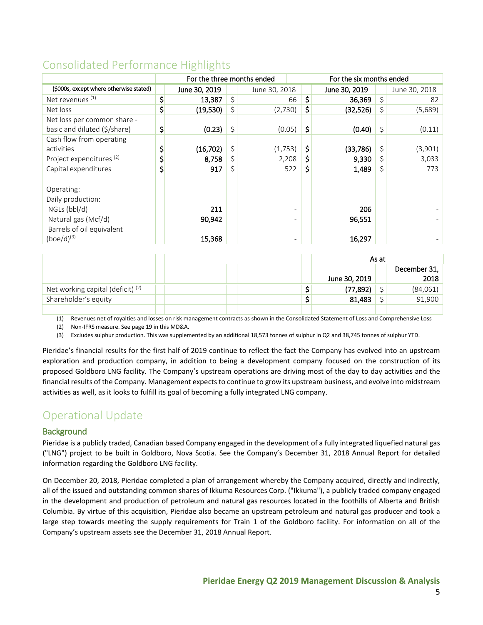# <span id="page-4-0"></span>Consolidated Performance Highlights

|                                         | For the three months ended |               | For the six months ended |               |    |               |  |
|-----------------------------------------|----------------------------|---------------|--------------------------|---------------|----|---------------|--|
| (\$000s, except where otherwise stated) | June 30, 2019              | June 30, 2018 |                          | June 30, 2019 |    | June 30, 2018 |  |
| Net revenues <sup>(1)</sup>             | 13,387                     | \$<br>66      | \$                       | 36,369        | \$ | 82            |  |
| Net loss                                | \$<br>(19,530)             | (2,730)       | \$                       | (32,526)      | \$ | (5,689)       |  |
| Net loss per common share -             |                            |               |                          |               |    |               |  |
| basic and diluted (\$/share)            | \$<br>(0.23)               | \$<br>(0.05)  | \$                       | (0.40)        | \$ | (0.11)        |  |
| Cash flow from operating                |                            |               |                          |               |    |               |  |
| activities                              | (16, 702)                  | (1,753)       | \$                       | (33, 786)     | \$ | (3,901)       |  |
| Project expenditures <sup>(2)</sup>     | 8,758                      | 2,208         | \$                       | 9,330         | \$ | 3,033         |  |
| Capital expenditures                    | \$<br>917                  | \$<br>522     | \$                       | 1,489         | \$ | 773           |  |
|                                         |                            |               |                          |               |    |               |  |
| Operating:                              |                            |               |                          |               |    |               |  |
| Daily production:                       |                            |               |                          |               |    |               |  |
| $NGLs$ (bbl/d)                          | 211                        |               | $\overline{\phantom{0}}$ | 206           |    |               |  |
| Natural gas (Mcf/d)                     | 90,942                     |               | $\overline{\phantom{0}}$ | 96,551        |    |               |  |
| Barrels of oil equivalent               |                            |               |                          |               |    |               |  |
| $(boe/d)^{(3)}$                         | 15,368                     |               | -                        | 16,297        |    |               |  |

|                                     |  |               | As at |              |
|-------------------------------------|--|---------------|-------|--------------|
|                                     |  |               |       | December 31, |
|                                     |  | June 30, 2019 |       | 2018         |
| Net working capital (deficit) $(2)$ |  | (77, 892)     |       | (84,061)     |
| Shareholder's equity                |  | 81,483        |       | 91.900       |
|                                     |  |               |       |              |

(1) Revenues net of royalties and losses on risk management contracts as shown in the Consolidated Statement of Loss and Comprehensive Loss

(2) Non-IFRS measure. See page 19 in this MD&A.

(3) Excludes sulphur production. This was supplemented by an additional 18,573 tonnes of sulphur in Q2 and 38,745 tonnes of sulphur YTD.

Pieridae's financial results for the first half of 2019 continue to reflect the fact the Company has evolved into an upstream exploration and production company, in addition to being a development company focused on the construction of its proposed Goldboro LNG facility. The Company's upstream operations are driving most of the day to day activities and the financial results of the Company. Management expects to continue to grow its upstream business, and evolve into midstream activities as well, as it looks to fulfill its goal of becoming a fully integrated LNG company.

## <span id="page-4-1"></span>Operational Update

## <span id="page-4-2"></span>**Background**

Pieridae is a publicly traded, Canadian based Company engaged in the development of a fully integrated liquefied natural gas ("LNG") project to be built in Goldboro, Nova Scotia. See the Company's December 31, 2018 Annual Report for detailed information regarding the Goldboro LNG facility.

On December 20, 2018, Pieridae completed a plan of arrangement whereby the Company acquired, directly and indirectly, all of the issued and outstanding common shares of Ikkuma Resources Corp. ("Ikkuma"), a publicly traded company engaged in the development and production of petroleum and natural gas resources located in the foothills of Alberta and British Columbia. By virtue of this acquisition, Pieridae also became an upstream petroleum and natural gas producer and took a large step towards meeting the supply requirements for Train 1 of the Goldboro facility. For information on all of the Company's upstream assets see the December 31, 2018 Annual Report.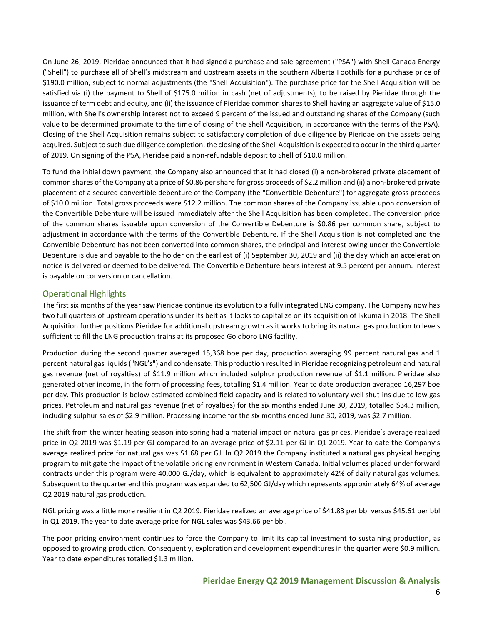On June 26, 2019, Pieridae announced that it had signed a purchase and sale agreement ("PSA") with Shell Canada Energy ("Shell") to purchase all of Shell's midstream and upstream assets in the southern Alberta Foothills for a purchase price of \$190.0 million, subject to normal adjustments (the "Shell Acquisition"). The purchase price for the Shell Acquisition will be satisfied via (i) the payment to Shell of \$175.0 million in cash (net of adjustments), to be raised by Pieridae through the issuance of term debt and equity, and (ii) the issuance of Pieridae common shares to Shell having an aggregate value of \$15.0 million, with Shell's ownership interest not to exceed 9 percent of the issued and outstanding shares of the Company (such value to be determined proximate to the time of closing of the Shell Acquisition, in accordance with the terms of the PSA). Closing of the Shell Acquisition remains subject to satisfactory completion of due diligence by Pieridae on the assets being acquired. Subject to such due diligence completion, the closing of the Shell Acquisition is expected to occur in the third quarter of 2019. On signing of the PSA, Pieridae paid a non-refundable deposit to Shell of \$10.0 million.

To fund the initial down payment, the Company also announced that it had closed (i) a non-brokered private placement of common shares of the Company at a price of \$0.86 per share for gross proceeds of \$2.2 million and (ii) a non-brokered private placement of a secured convertible debenture of the Company (the "Convertible Debenture") for aggregate gross proceeds of \$10.0 million. Total gross proceeds were \$12.2 million. The common shares of the Company issuable upon conversion of the Convertible Debenture will be issued immediately after the Shell Acquisition has been completed. The conversion price of the common shares issuable upon conversion of the Convertible Debenture is \$0.86 per common share, subject to adjustment in accordance with the terms of the Convertible Debenture. If the Shell Acquisition is not completed and the Convertible Debenture has not been converted into common shares, the principal and interest owing under the Convertible Debenture is due and payable to the holder on the earliest of (i) September 30, 2019 and (ii) the day which an acceleration notice is delivered or deemed to be delivered. The Convertible Debenture bears interest at 9.5 percent per annum. Interest is payable on conversion or cancellation.

## <span id="page-5-0"></span>Operational Highlights

The first six months of the year saw Pieridae continue its evolution to a fully integrated LNG company. The Company now has two full quarters of upstream operations under its belt as it looks to capitalize on its acquisition of Ikkuma in 2018. The Shell Acquisition further positions Pieridae for additional upstream growth as it works to bring its natural gas production to levels sufficient to fill the LNG production trains at its proposed Goldboro LNG facility.

Production during the second quarter averaged 15,368 boe per day, production averaging 99 percent natural gas and 1 percent natural gas liquids ("NGL's") and condensate. This production resulted in Pieridae recognizing petroleum and natural gas revenue (net of royalties) of \$11.9 million which included sulphur production revenue of \$1.1 million. Pieridae also generated other income, in the form of processing fees, totalling \$1.4 million. Year to date production averaged 16,297 boe per day. This production is below estimated combined field capacity and is related to voluntary well shut-ins due to low gas prices. Petroleum and natural gas revenue (net of royalties) for the six months ended June 30, 2019, totalled \$34.3 million, including sulphur sales of \$2.9 million. Processing income for the six months ended June 30, 2019, was \$2.7 million.

The shift from the winter heating season into spring had a material impact on natural gas prices. Pieridae's average realized price in Q2 2019 was \$1.19 per GJ compared to an average price of \$2.11 per GJ in Q1 2019. Year to date the Company's average realized price for natural gas was \$1.68 per GJ. In Q2 2019 the Company instituted a natural gas physical hedging program to mitigate the impact of the volatile pricing environment in Western Canada. Initial volumes placed under forward contracts under this program were 40,000 GJ/day, which is equivalent to approximately 42% of daily natural gas volumes. Subsequent to the quarter end this program was expanded to 62,500 GJ/day which represents approximately 64% of average Q2 2019 natural gas production.

NGL pricing was a little more resilient in Q2 2019. Pieridae realized an average price of \$41.83 per bbl versus \$45.61 per bbl in Q1 2019. The year to date average price for NGL sales was \$43.66 per bbl.

The poor pricing environment continues to force the Company to limit its capital investment to sustaining production, as opposed to growing production. Consequently, exploration and development expenditures in the quarter were \$0.9 million. Year to date expenditures totalled \$1.3 million.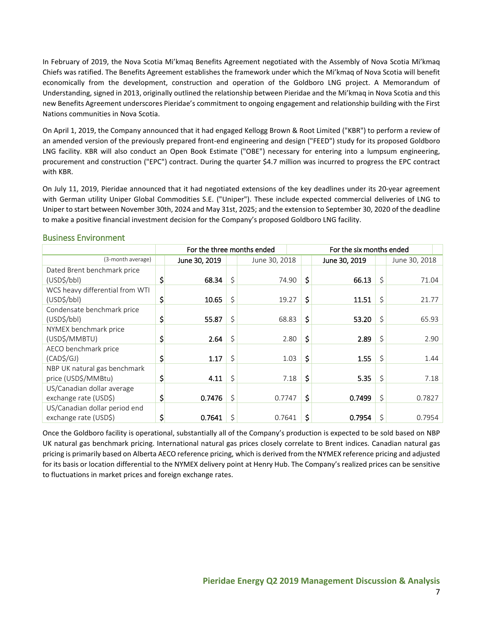In February of 2019, the Nova Scotia Mi'kmaq Benefits Agreement negotiated with the Assembly of Nova Scotia Mi'kmaq Chiefs was ratified. The Benefits Agreement establishes the framework under which the Mi'kmaq of Nova Scotia will benefit economically from the development, construction and operation of the Goldboro LNG project. A Memorandum of Understanding, signed in 2013, originally outlined the relationship between Pieridae and the Mi'kmaq in Nova Scotia and this new Benefits Agreement underscores Pieridae's commitment to ongoing engagement and relationship building with the First Nations communities in Nova Scotia.

On April 1, 2019, the Company announced that it had engaged Kellogg Brown & Root Limited ("KBR") to perform a review of an amended version of the previously prepared front-end engineering and design ("FEED") study for its proposed Goldboro LNG facility. KBR will also conduct an Open Book Estimate ("OBE") necessary for entering into a lumpsum engineering, procurement and construction ("EPC") contract. During the quarter \$4.7 million was incurred to progress the EPC contract with KBR.

On July 11, 2019, Pieridae announced that it had negotiated extensions of the key deadlines under its 20-year agreement with German utility Uniper Global Commodities S.E. ("Uniper"). These include expected commercial deliveries of LNG to Uniper to start between November 30th, 2024 and May 31st, 2025; and the extension to September 30, 2020 of the deadline to make a positive financial investment decision for the Company's proposed Goldboro LNG facility.

|                                 | For the three months ended |    |               | For the six months ended |               |    |               |  |
|---------------------------------|----------------------------|----|---------------|--------------------------|---------------|----|---------------|--|
| (3-month average)               | June 30, 2019              |    | June 30, 2018 |                          | June 30, 2019 |    | June 30, 2018 |  |
| Dated Brent benchmark price     |                            |    |               |                          |               |    |               |  |
| (USD <sub>5</sub> /bb)          | \$<br>68.34                | Ŝ. | 74.90         | \$                       | 66.13         | \$ | 71.04         |  |
| WCS heavy differential from WTI |                            |    |               |                          |               |    |               |  |
| (USD <sub>5</sub> /bb)          | \$<br>10.65                | \$ | 19.27         | \$                       | 11.51         | \$ | 21.77         |  |
| Condensate benchmark price      |                            |    |               |                          |               |    |               |  |
| (USD <sub>5</sub> /bb)          | 55.87                      | Ś  | 68.83         | \$                       | 53.20         | \$ | 65.93         |  |
| NYMEX benchmark price           |                            |    |               |                          |               |    |               |  |
| (USD\$/MMBTU)                   | 2.64                       | \$ | 2.80          | \$                       | 2.89          | \$ | 2.90          |  |
| AECO benchmark price            |                            |    |               |                          |               |    |               |  |
| (CAD\$/GJ)                      | \$<br>1.17                 | \$ | 1.03          | \$                       | 1.55          | \$ | 1.44          |  |
| NBP UK natural gas benchmark    |                            |    |               |                          |               |    |               |  |
| price (USD\$/MMBtu)             | \$<br>4.11                 | \$ | 7.18          | \$                       | 5.35          | \$ | 7.18          |  |
| US/Canadian dollar average      |                            |    |               |                          |               |    |               |  |
| exchange rate (USD\$)           | \$<br>0.7476               | Ś  | 0.7747        | \$                       | 0.7499        | \$ | 0.7827        |  |
| US/Canadian dollar period end   |                            |    |               |                          |               |    |               |  |
| exchange rate (USD\$)           | \$<br>0.7641               | Ś  | 0.7641        | \$                       | 0.7954        | \$ | 0.7954        |  |

#### <span id="page-6-0"></span>Business Environment

Once the Goldboro facility is operational, substantially all of the Company's production is expected to be sold based on NBP UK natural gas benchmark pricing. International natural gas prices closely correlate to Brent indices. Canadian natural gas pricing is primarily based on Alberta AECO reference pricing, which is derived from the NYMEX reference pricing and adjusted for its basis or location differential to the NYMEX delivery point at Henry Hub. The Company's realized prices can be sensitive to fluctuations in market prices and foreign exchange rates.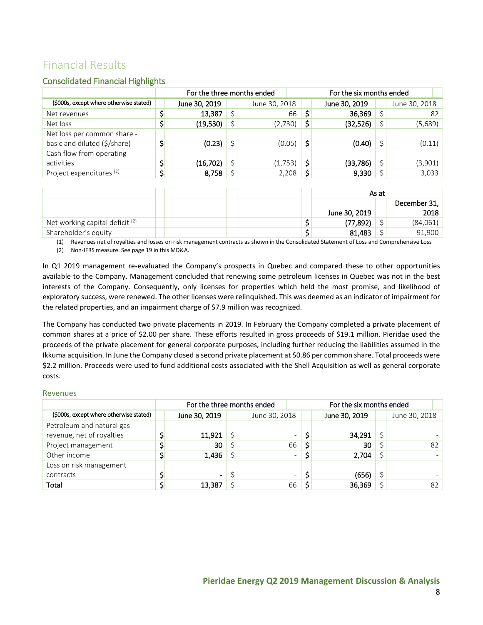# <span id="page-7-0"></span>Financial Results

## <span id="page-7-1"></span>Consolidated Financial Highlights

|                                                             | For the three months ended |               | For the six months ended |    |               |  |               |    |
|-------------------------------------------------------------|----------------------------|---------------|--------------------------|----|---------------|--|---------------|----|
| (\$000s, except where otherwise stated)                     | June 30, 2019              | June 30, 2018 |                          |    | June 30, 2019 |  | June 30, 2018 |    |
| Net revenues                                                | 13,387                     |               | 66                       |    | 36,369        |  |               | 82 |
| Net loss                                                    | (19,530)                   | (2,730)       |                          | \$ | (32,526)      |  | (5,689)       |    |
| Net loss per common share -<br>basic and diluted (\$/share) | (0.23)                     | (0.05)        |                          | Ś  | (0.40)        |  | (0.11)        |    |
| Cash flow from operating<br>activities                      | (16, 702)                  | (1,753)       |                          | \$ | (33, 786)     |  | (3,901)       |    |
| Project expenditures <sup>(2)</sup>                         | \$<br>8,758                | 2,208         |                          |    | 9,330         |  | 3,033         |    |

|                                            |  |  |               | As at |                      |
|--------------------------------------------|--|--|---------------|-------|----------------------|
|                                            |  |  | June 30, 2019 |       | December 31,<br>2018 |
| Net working capital deficit <sup>(2)</sup> |  |  | (77, 892)     |       | (84,061)             |
| Shareholder's equity                       |  |  | 81,483        |       | 91.900               |

(1) Revenues net of royalties and losses on risk management contracts as shown in the Consolidated Statement of Loss and Comprehensive Loss (2) Non-IFRS measure. See page 19 in this MD&A.

In Q1 2019 management re-evaluated the Company's prospects in Quebec and compared these to other opportunities available to the Company. Management concluded that renewing some petroleum licenses in Quebec was not in the best interests of the Company. Consequently, only licenses for properties which held the most promise, and likelihood of exploratory success, were renewed. The other licenses were relinquished. This was deemed as an indicator of impairment for the related properties, and an impairment charge of \$7.9 million was recognized.

The Company has conducted two private placements in 2019. In February the Company completed a private placement of common shares at a price of \$2.00 per share. These efforts resulted in gross proceeds of \$19.1 million. Pieridae used the proceeds of the private placement for general corporate purposes, including further reducing the liabilities assumed in the Ikkuma acquisition. In June the Company closed a second private placement at \$0.86 per common share. Total proceeds were \$2.2 million. Proceeds were used to fund additional costs associated with the Shell Acquisition as well as general corporate costs.

#### Revenues

|                                         | For the three months ended |                |  |               |                          |  | For the six months ended |  |               |  |  |
|-----------------------------------------|----------------------------|----------------|--|---------------|--------------------------|--|--------------------------|--|---------------|--|--|
| (\$000s, except where otherwise stated) |                            | June 30, 2019  |  | June 30, 2018 |                          |  | June 30, 2019            |  | June 30, 2018 |  |  |
| Petroleum and natural gas               |                            |                |  |               |                          |  |                          |  |               |  |  |
| revenue, net of royalties               |                            | 11,921         |  |               | $\overline{\phantom{0}}$ |  | 34,291                   |  |               |  |  |
| Project management                      |                            | 30             |  |               | 66                       |  | 30                       |  | 82            |  |  |
| Other income                            |                            | 1,436          |  |               | $\overline{\phantom{0}}$ |  | 2,704                    |  |               |  |  |
| Loss on risk management                 |                            |                |  |               |                          |  |                          |  |               |  |  |
| contracts                               |                            | $\blacksquare$ |  |               | $\overline{\phantom{0}}$ |  | (656)                    |  |               |  |  |
| Total                                   |                            | 13,387         |  |               | 66                       |  | 36,369                   |  | 82            |  |  |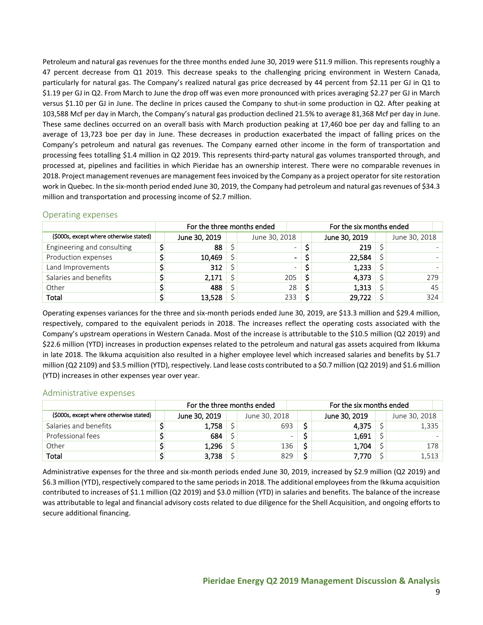Petroleum and natural gas revenues for the three months ended June 30, 2019 were \$11.9 million. This represents roughly a 47 percent decrease from Q1 2019. This decrease speaks to the challenging pricing environment in Western Canada, particularly for natural gas. The Company's realized natural gas price decreased by 44 percent from \$2.11 per GJ in Q1 to \$1.19 per GJ in Q2. From March to June the drop off was even more pronounced with prices averaging \$2.27 per GJ in March versus \$1.10 per GJ in June. The decline in prices caused the Company to shut-in some production in Q2. After peaking at 103,588 Mcf per day in March, the Company's natural gas production declined 21.5% to average 81,368 Mcf per day in June. These same declines occurred on an overall basis with March production peaking at 17,460 boe per day and falling to an average of 13,723 boe per day in June. These decreases in production exacerbated the impact of falling prices on the Company's petroleum and natural gas revenues. The Company earned other income in the form of transportation and processing fees totalling \$1.4 million in Q2 2019. This represents third-party natural gas volumes transported through, and processed at, pipelines and facilities in which Pieridae has an ownership interest. There were no comparable revenues in 2018. Project management revenues are management fees invoiced by the Company as a project operator forsite restoration work in Quebec. In the six-month period ended June 30, 2019, the Company had petroleum and natural gas revenues of \$34.3 million and transportation and processing income of \$2.7 million.

|                                         | For the three months ended |               |  |               |                          |  | For the six months ended |  |               |     |  |
|-----------------------------------------|----------------------------|---------------|--|---------------|--------------------------|--|--------------------------|--|---------------|-----|--|
| (\$000s, except where otherwise stated) |                            | June 30, 2019 |  | June 30, 2018 |                          |  | June 30, 2019            |  | June 30, 2018 |     |  |
| Engineering and consulting              |                            | 88            |  |               | $\overline{\phantom{0}}$ |  | 219                      |  |               |     |  |
| Production expenses                     |                            | 10,469        |  |               | ۰.                       |  | 22,584                   |  |               |     |  |
| Land Improvements                       |                            | 312           |  |               | $\overline{\phantom{0}}$ |  | 1,233                    |  |               |     |  |
| Salaries and benefits                   |                            | 2,171         |  |               | 205                      |  | 4,373                    |  |               | 279 |  |
| Other                                   |                            | 488           |  |               | 28                       |  | 1,313                    |  |               | 45  |  |
| Total                                   |                            | 13,528        |  |               | 233                      |  | 29,722                   |  |               | 324 |  |

## <span id="page-8-0"></span>Operating expenses

Operating expenses variances for the three and six-month periods ended June 30, 2019, are \$13.3 million and \$29.4 million, respectively, compared to the equivalent periods in 2018. The increases reflect the operating costs associated with the Company's upstream operations in Western Canada. Most of the increase is attributable to the \$10.5 million (Q2 2019) and \$22.6 million (YTD) increases in production expenses related to the petroleum and natural gas assets acquired from Ikkuma in late 2018. The Ikkuma acquisition also resulted in a higher employee level which increased salaries and benefits by \$1.7 million (Q2 2109) and \$3.5 million (YTD), respectively. Land lease costs contributed to a \$0.7 million (Q2 2019) and \$1.6 million (YTD) increases in other expenses year over year.

## <span id="page-8-1"></span>Administrative expenses

|                                         | For the three months ended |               | For the six months ended |               |  |               |  |  |
|-----------------------------------------|----------------------------|---------------|--------------------------|---------------|--|---------------|--|--|
| (\$000s, except where otherwise stated) | June 30, 2019              | June 30, 2018 |                          | June 30, 2019 |  | June 30, 2018 |  |  |
| Salaries and benefits                   | 1,758                      | 693           |                          | 4,375         |  | 1,335         |  |  |
| Professional fees                       | 684                        |               |                          | 1,691         |  |               |  |  |
| Other                                   | 1,296                      | 136           |                          | 1,704         |  | 178           |  |  |
| Total                                   | 3,738                      | 829           |                          | 7.770         |  | 1,513         |  |  |

Administrative expenses for the three and six-month periods ended June 30, 2019, increased by \$2.9 million (Q2 2019) and \$6.3 million (YTD), respectively compared to the same periodsin 2018. The additional employees from the Ikkuma acquisition contributed to increases of \$1.1 million (Q2 2019) and \$3.0 million (YTD) in salaries and benefits. The balance of the increase was attributable to legal and financial advisory costs related to due diligence for the Shell Acquisition, and ongoing efforts to secure additional financing.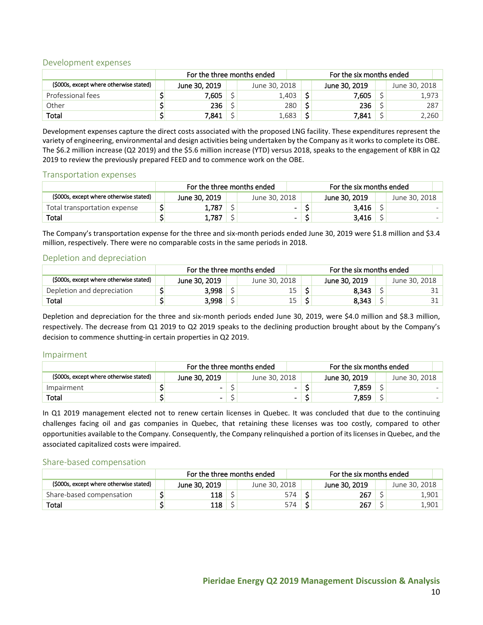### <span id="page-9-0"></span>Development expenses

|                                         | For the three months ended |               |  |               |   | For the six months ended |  |               |  |  |  |
|-----------------------------------------|----------------------------|---------------|--|---------------|---|--------------------------|--|---------------|--|--|--|
| (\$000s, except where otherwise stated) |                            | June 30, 2019 |  | June 30, 2018 |   | June 30, 2019            |  | June 30, 2018 |  |  |  |
| Professional fees                       |                            | 7,605         |  | .403          |   | 7.605                    |  | 1,973         |  |  |  |
| Other                                   |                            | 236           |  | 280           | ċ | 236                      |  | 287           |  |  |  |
| Total                                   |                            | 7,841         |  | 683,          | ÷ | 7,841                    |  | 2,260         |  |  |  |

Development expenses capture the direct costs associated with the proposed LNG facility. These expenditures represent the variety of engineering, environmental and design activities being undertaken by the Company as it works to complete its OBE. The \$6.2 million increase (Q2 2019) and the \$5.6 million increase (YTD) versus 2018, speaks to the engagement of KBR in Q2 2019 to review the previously prepared FEED and to commence work on the OBE.

#### <span id="page-9-1"></span>Transportation expenses

|                                        | For the three months ended |               |  |                          |  | For the six months ended |  |               |  |  |  |
|----------------------------------------|----------------------------|---------------|--|--------------------------|--|--------------------------|--|---------------|--|--|--|
| (S000s, except where otherwise stated) |                            | June 30, 2019 |  | June 30, 2018            |  | June 30, 2019            |  | June 30, 2018 |  |  |  |
| Total transportation expense           |                            | 1,787         |  | $\blacksquare$           |  | 3,416                    |  |               |  |  |  |
| Total                                  |                            | 1,787         |  | $\overline{\phantom{0}}$ |  | 3,416                    |  |               |  |  |  |

The Company's transportation expense for the three and six-month periods ended June 30, 2019 were \$1.8 million and \$3.4 million, respectively. There were no comparable costs in the same periods in 2018.

## <span id="page-9-2"></span>Depletion and depreciation

|                                         | For the three months ended |               |  |               |  | For the six months ended |  |               |  |  |
|-----------------------------------------|----------------------------|---------------|--|---------------|--|--------------------------|--|---------------|--|--|
| (\$000s, except where otherwise stated) |                            | June 30, 2019 |  | June 30, 2018 |  | June 30, 2019            |  | June 30, 2018 |  |  |
| Depletion and depreciation              |                            | 3.998         |  | 15            |  | 8.343                    |  |               |  |  |
| Total                                   |                            | 3,998         |  | 15            |  | 8.343                    |  |               |  |  |

Depletion and depreciation for the three and six-month periods ended June 30, 2019, were \$4.0 million and \$8.3 million, respectively. The decrease from Q1 2019 to Q2 2019 speaks to the declining production brought about by the Company's decision to commence shutting-in certain properties in Q2 2019.

#### <span id="page-9-3"></span>Impairment

|                                         | For the three months ended |                          | For the six months ended |               |  |               |  |
|-----------------------------------------|----------------------------|--------------------------|--------------------------|---------------|--|---------------|--|
| (\$000s, except where otherwise stated) | June 30, 2019              | June 30, 2018            |                          | June 30, 2019 |  | June 30, 2018 |  |
| Impairment                              | -                          | $\overline{\phantom{0}}$ |                          | 7.859         |  |               |  |
| Total                                   | -                          | ۰.                       |                          | 7,859         |  |               |  |

In Q1 2019 management elected not to renew certain licenses in Quebec. It was concluded that due to the continuing challenges facing oil and gas companies in Quebec, that retaining these licenses was too costly, compared to other opportunities available to the Company. Consequently, the Company relinquished a portion of its licenses in Quebec, and the associated capitalized costs were impaired.

#### <span id="page-9-4"></span>Share-based compensation

|                                         | For the three months ended |               |  |               |  | For the six months ended |  |               |  |  |
|-----------------------------------------|----------------------------|---------------|--|---------------|--|--------------------------|--|---------------|--|--|
| (\$000s, except where otherwise stated) |                            | June 30, 2019 |  | June 30, 2018 |  | June 30, 2019            |  | June 30. 2018 |  |  |
| Share-based compensation                |                            | 118           |  | 574           |  | 267                      |  | 901           |  |  |
| Total                                   |                            | 118           |  | 574           |  | 267                      |  | ـ 901.        |  |  |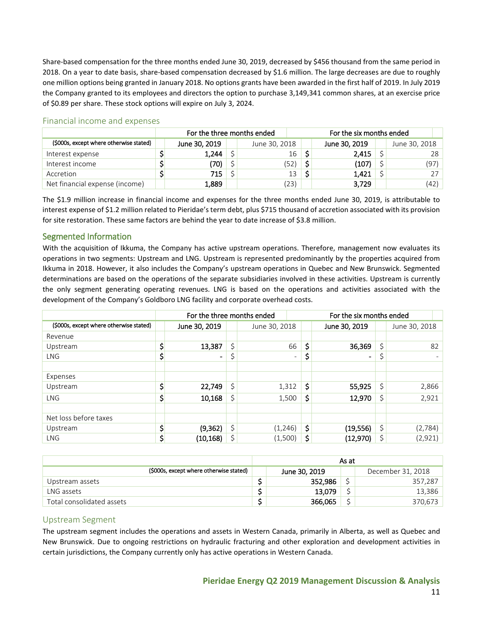Share-based compensation for the three months ended June 30, 2019, decreased by \$456 thousand from the same period in 2018. On a year to date basis, share-based compensation decreased by \$1.6 million. The large decreases are due to roughly one million options being granted in January 2018. No options grants have been awarded in the first half of 2019. In July 2019 the Company granted to its employees and directors the option to purchase 3,149,341 common shares, at an exercise price of \$0.89 per share. These stock options will expire on July 3, 2024.

|                                         | For the three months ended<br>For the six months ended |               |  |  |               |  |               |  |               |      |
|-----------------------------------------|--------------------------------------------------------|---------------|--|--|---------------|--|---------------|--|---------------|------|
| (\$000s, except where otherwise stated) |                                                        | June 30, 2019 |  |  | June 30, 2018 |  | June 30, 2019 |  | June 30, 2018 |      |
| Interest expense                        |                                                        | 1,244         |  |  | 16            |  | 2,415         |  |               | 28   |
| Interest income                         |                                                        | '70)          |  |  | 52)           |  | (107)         |  |               | (97) |
| Accretion                               |                                                        | 715           |  |  | 13            |  | 1,421         |  |               |      |
| Net financial expense (income)          |                                                        | 1,889         |  |  | (23)          |  | 3,729         |  |               | (42) |

### <span id="page-10-0"></span>Financial income and expenses

The \$1.9 million increase in financial income and expenses for the three months ended June 30, 2019, is attributable to interest expense of \$1.2 million related to Pieridae's term debt, plus \$715 thousand of accretion associated with its provision for site restoration. These same factors are behind the year to date increase of \$3.8 million.

## <span id="page-10-1"></span>Segmented Information

With the acquisition of Ikkuma, the Company has active upstream operations. Therefore, management now evaluates its operations in two segments: Upstream and LNG. Upstream is represented predominantly by the properties acquired from Ikkuma in 2018. However, it also includes the Company's upstream operations in Quebec and New Brunswick. Segmented determinations are based on the operations of the separate subsidiaries involved in these activities. Upstream is currently the only segment generating operating revenues. LNG is based on the operations and activities associated with the development of the Company's Goldboro LNG facility and corporate overhead costs.

|                                         | For the three months ended         |    | For the six months ended |                          |    |                |    |               |
|-----------------------------------------|------------------------------------|----|--------------------------|--------------------------|----|----------------|----|---------------|
| (\$000s, except where otherwise stated) | June 30, 2019                      |    | June 30, 2018            |                          |    | June 30, 2019  |    | June 30, 2018 |
| Revenue                                 |                                    |    |                          |                          |    |                |    |               |
| Upstream                                | \$<br>13,387                       | Ś  |                          | 66                       | \$ | 36,369         | \$ | 82            |
| <b>LNG</b>                              | \$<br>$\qquad \qquad \blacksquare$ |    |                          | $\overline{\phantom{0}}$ | \$ | $\blacksquare$ | \$ |               |
|                                         |                                    |    |                          |                          |    |                |    |               |
| Expenses                                |                                    |    |                          |                          |    |                |    |               |
| Upstream                                | \$<br>22,749                       | \$ | 1,312                    |                          | \$ | 55,925         | \$ | 2,866         |
| <b>LNG</b>                              | \$<br>10,168                       | Ś  | 1,500                    |                          | \$ | 12,970         | \$ | 2,921         |
|                                         |                                    |    |                          |                          |    |                |    |               |
| Net loss before taxes                   |                                    |    |                          |                          |    |                |    |               |
| Upstream                                | \$<br>(9, 362)                     | \$ | (1,246)                  |                          | \$ | (19, 556)      | \$ | (2,784)       |
| <b>LNG</b>                              | \$<br>(10, 168)                    | \$ | (1,500)                  |                          | \$ | (12,970)       | \$ | (2,921)       |

|                                         | As at                              |         |  |         |  |  |  |  |  |  |
|-----------------------------------------|------------------------------------|---------|--|---------|--|--|--|--|--|--|
| (\$000s, except where otherwise stated) | December 31, 2018<br>June 30, 2019 |         |  |         |  |  |  |  |  |  |
| Upstream assets                         |                                    | 352.986 |  | 357,287 |  |  |  |  |  |  |
| LNG assets                              |                                    | 13.079  |  | 13,386  |  |  |  |  |  |  |
| Total consolidated assets               |                                    | 366.065 |  | 370,673 |  |  |  |  |  |  |

## <span id="page-10-2"></span>Upstream Segment

The upstream segment includes the operations and assets in Western Canada, primarily in Alberta, as well as Quebec and New Brunswick. Due to ongoing restrictions on hydraulic fracturing and other exploration and development activities in certain jurisdictions, the Company currently only has active operations in Western Canada.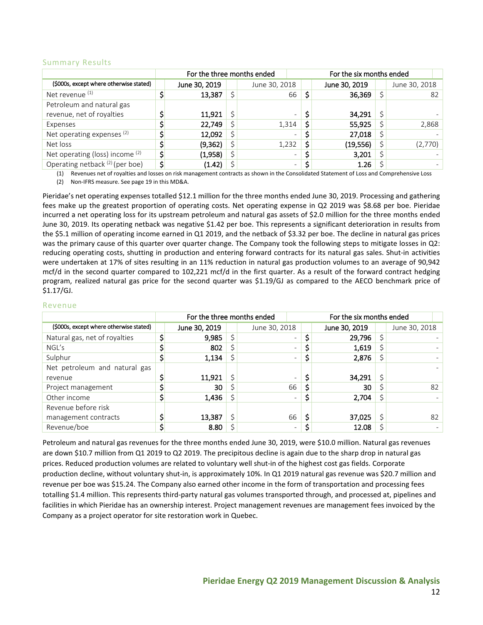### Summary Results

|                                         | For the three months ended<br>For the six months ended |               |  |               |                          |   |               |  |               |    |
|-----------------------------------------|--------------------------------------------------------|---------------|--|---------------|--------------------------|---|---------------|--|---------------|----|
| (\$000s, except where otherwise stated) |                                                        | June 30, 2019 |  | June 30, 2018 |                          |   | June 30, 2019 |  | June 30, 2018 |    |
| Net revenue <sup>(1)</sup>              |                                                        | 13,387        |  |               | 66                       |   | 36,369        |  |               | 82 |
| Petroleum and natural gas               |                                                        |               |  |               |                          |   |               |  |               |    |
| revenue, net of royalties               |                                                        | 11,921        |  |               | $\overline{\phantom{0}}$ |   | 34,291        |  |               |    |
| Expenses                                |                                                        | 22,749        |  | 1,314         |                          |   | 55,925        |  | 2,868         |    |
| Net operating expenses <sup>(2)</sup>   |                                                        | 12,092        |  |               | $\overline{\phantom{0}}$ |   | 27,018        |  |               |    |
| Net loss                                |                                                        | (9, 362)      |  | 1,232         |                          | Ś | (19, 556)     |  | (2,770)       |    |
| Net operating (loss) income (2)         |                                                        | (1,958)       |  |               | $\overline{\phantom{0}}$ |   | 3,201         |  |               |    |
| Operating netback (2) (per boe)         | ċ                                                      | (1.42)        |  |               | $\overline{\phantom{0}}$ | Ś | 1.26          |  |               |    |

(1) Revenues net of royalties and losses on risk management contracts as shown in the Consolidated Statement of Loss and Comprehensive Loss (2) Non-IFRS measure. See page 19 in this MD&A.

Pieridae's net operating expenses totalled \$12.1 million for the three months ended June 30, 2019. Processing and gathering fees make up the greatest proportion of operating costs. Net operating expense in Q2 2019 was \$8.68 per boe. Pieridae incurred a net operating loss for its upstream petroleum and natural gas assets of \$2.0 million for the three months ended June 30, 2019. Its operating netback was negative \$1.42 per boe. This represents a significant deterioration in results from the \$5.1 million of operating income earned in Q1 2019, and the netback of \$3.32 per boe. The decline in natural gas prices was the primary cause of this quarter over quarter change. The Company took the following steps to mitigate losses in Q2: reducing operating costs, shutting in production and entering forward contracts for its natural gas sales. Shut-in activities were undertaken at 17% of sites resulting in an 11% reduction in natural gas production volumes to an average of 90,942 mcf/d in the second quarter compared to 102,221 mcf/d in the first quarter. As a result of the forward contract hedging program, realized natural gas price for the second quarter was \$1.19/GJ as compared to the AECO benchmark price of \$1.17/GJ.

#### Revenue

|                                         | For the three months ended |               |  |               |                          |   | For the six months ended |  |               |    |
|-----------------------------------------|----------------------------|---------------|--|---------------|--------------------------|---|--------------------------|--|---------------|----|
| (\$000s, except where otherwise stated) |                            | June 30, 2019 |  | June 30, 2018 |                          |   | June 30, 2019            |  | June 30, 2018 |    |
| Natural gas, net of royalties           |                            | 9,985         |  |               |                          |   | 29,796                   |  |               |    |
| NGL's                                   |                            | 802           |  |               |                          |   | 1,619                    |  |               |    |
| Sulphur                                 |                            | 1,134         |  |               | -                        |   | 2,876                    |  |               |    |
| Net petroleum and natural gas           |                            |               |  |               |                          |   |                          |  |               |    |
| revenue                                 |                            | 11,921        |  |               |                          |   | 34,291                   |  |               |    |
| Project management                      |                            | 30            |  |               | 66                       |   | 30                       |  |               | 82 |
| Other income                            |                            | 1,436         |  |               | $\overline{\phantom{0}}$ | Ş | 2,704                    |  |               |    |
| Revenue before risk                     |                            |               |  |               |                          |   |                          |  |               |    |
| management contracts                    |                            | 13,387        |  |               | 66                       |   | 37,025                   |  |               | 82 |
| Revenue/boe                             |                            | 8.80          |  |               | -                        |   | 12.08                    |  |               |    |

Petroleum and natural gas revenues for the three months ended June 30, 2019, were \$10.0 million. Natural gas revenues are down \$10.7 million from Q1 2019 to Q2 2019. The precipitous decline is again due to the sharp drop in natural gas prices. Reduced production volumes are related to voluntary well shut-in of the highest cost gas fields. Corporate production decline, without voluntary shut-in, is approximately 10%. In Q1 2019 natural gas revenue was \$20.7 million and revenue per boe was \$15.24. The Company also earned other income in the form of transportation and processing fees totalling \$1.4 million. This represents third-party natural gas volumes transported through, and processed at, pipelines and facilities in which Pieridae has an ownership interest. Project management revenues are management fees invoiced by the Company as a project operator for site restoration work in Quebec.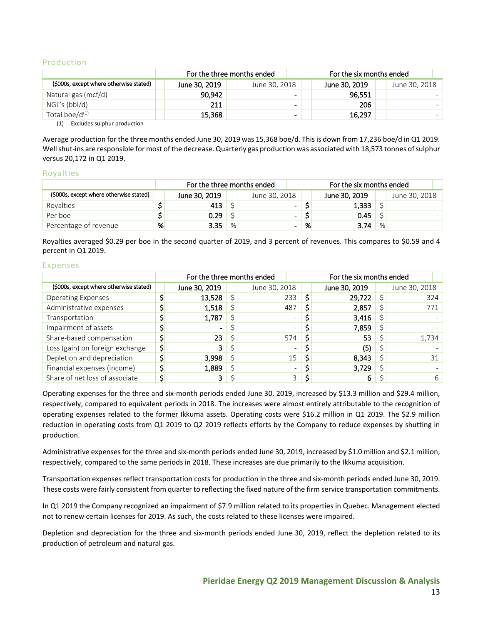#### Production

|                                         |               | For the three months ended |                          | For the six months ended |               |  |  |  |
|-----------------------------------------|---------------|----------------------------|--------------------------|--------------------------|---------------|--|--|--|
| (\$000s, except where otherwise stated) | June 30, 2019 | June 30, 2018              |                          | June 30, 2019            | June 30, 2018 |  |  |  |
| Natural gas (mcf/d)                     | 90.942        |                            | $\sim$                   | 96,551                   |               |  |  |  |
| NGL's (bbl/d)                           | 211           |                            | $\overline{\phantom{0}}$ | 206                      |               |  |  |  |
| Total boe/ $d^{(1)}$                    | 15.368        |                            | -                        | 16.297                   |               |  |  |  |

(1) Excludes sulphur production

Average production for the three months ended June 30, 2019 was 15,368 boe/d. This is down from 17,236 boe/d in Q1 2019. Well shut-ins are responsible for most of the decrease. Quarterly gas production was associated with 18,573 tonnes of sulphur versus 20,172 in Q1 2019.

#### Royalties

|                                         |   | For the three months ended |   |                | For the six months ended |               |   |               |  |
|-----------------------------------------|---|----------------------------|---|----------------|--------------------------|---------------|---|---------------|--|
| (\$000s, except where otherwise stated) |   | June 30, 2019              |   | June 30, 2018  |                          | June 30, 2019 |   | June 30, 2018 |  |
| Rovalties                               |   | 413                        |   | $\sim$         |                          | 1,333         |   |               |  |
| Per boe                                 |   | 0.29                       |   | $\blacksquare$ |                          | 0.45          |   |               |  |
| Percentage of revenue                   | % | 3.35                       | % |                | %                        | 3.74          | % |               |  |

Royalties averaged \$0.29 per boe in the second quarter of 2019, and 3 percent of revenues. This compares to \$0.59 and 4 percent in Q1 2019.

#### Expenses

|                                         | For the three months ended |               |  |               |                          |  | For the six months ended |               |  |
|-----------------------------------------|----------------------------|---------------|--|---------------|--------------------------|--|--------------------------|---------------|--|
| (\$000s, except where otherwise stated) |                            | June 30, 2019 |  | June 30, 2018 |                          |  | June 30, 2019            | June 30, 2018 |  |
| <b>Operating Expenses</b>               |                            | 13,528        |  | 233           |                          |  | 29,722                   | 324           |  |
| Administrative expenses                 |                            | 1,518         |  | 487           |                          |  | 2,857                    | 771           |  |
| Transportation                          |                            | 1,787         |  |               | $\overline{\phantom{0}}$ |  | 3,416                    |               |  |
| Impairment of assets                    |                            |               |  |               | $\overline{\phantom{0}}$ |  | 7,859                    |               |  |
| Share-based compensation                |                            | 23            |  |               | 574                      |  | 53                       | 1,734         |  |
| Loss (gain) on foreign exchange         |                            | 3             |  |               | $\overline{\phantom{0}}$ |  | (5)                      |               |  |
| Depletion and depreciation              |                            | 3,998         |  |               | 15                       |  | 8,343                    | 31            |  |
| Financial expenses (income)             |                            | 1,889         |  |               | $\overline{\phantom{0}}$ |  | 3,729                    |               |  |
| Share of net loss of associate          |                            |               |  |               | っ                        |  | 6                        | 6             |  |

Operating expenses for the three and six-month periods ended June 30, 2019, increased by \$13.3 million and \$29.4 million, respectively, compared to equivalent periods in 2018. The increases were almost entirely attributable to the recognition of operating expenses related to the former Ikkuma assets. Operating costs were \$16.2 million in Q1 2019. The \$2.9 million reduction in operating costs from Q1 2019 to Q2 2019 reflects efforts by the Company to reduce expenses by shutting in production.

Administrative expenses for the three and six-month periods ended June 30, 2019, increased by \$1.0 million and \$2.1 million, respectively, compared to the same periods in 2018. These increases are due primarily to the Ikkuma acquisition.

Transportation expenses reflect transportation costs for production in the three and six-month periods ended June 30, 2019. These costs were fairly consistent from quarter to reflecting the fixed nature of the firm service transportation commitments.

In Q1 2019 the Company recognized an impairment of \$7.9 million related to its properties in Quebec. Management elected not to renew certain licenses for 2019. As such, the costs related to these licenses were impaired.

Depletion and depreciation for the three and six-month periods ended June 30, 2019, reflect the depletion related to its production of petroleum and natural gas.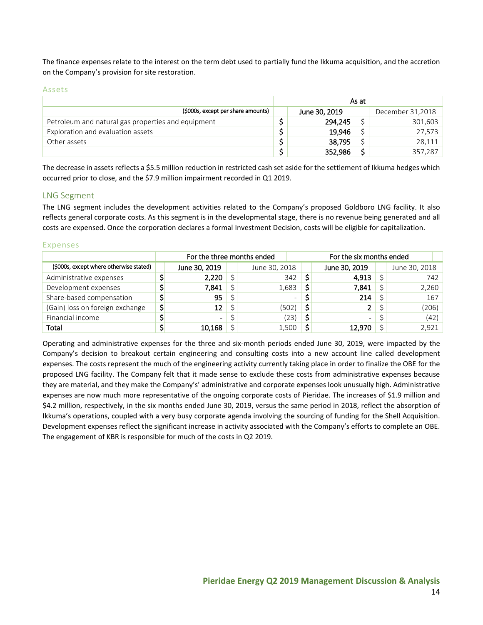The finance expenses relate to the interest on the term debt used to partially fund the Ikkuma acquisition, and the accretion on the Company's provision for site restoration.

Assets

|                                                    |               | As at |                  |
|----------------------------------------------------|---------------|-------|------------------|
| (\$000s, except per share amounts)                 | June 30, 2019 |       | December 31,2018 |
| Petroleum and natural gas properties and equipment | 294.245       |       | 301,603          |
| Exploration and evaluation assets                  | 19,946        |       | 27,573           |
| Other assets                                       | 38,795        |       | 28,111           |
|                                                    | 352,986       |       | 357,287          |

The decrease in assets reflects a \$5.5 million reduction in restricted cash set aside for the settlement of Ikkuma hedges which occurred prior to close, and the \$7.9 million impairment recorded in Q1 2019.

## <span id="page-13-0"></span>LNG Segment

The LNG segment includes the development activities related to the Company's proposed Goldboro LNG facility. It also reflects general corporate costs. As this segment is in the developmental stage, there is no revenue being generated and all costs are expensed. Once the corporation declares a formal Investment Decision, costs will be eligible for capitalization.

#### Expenses

|                                         | For the three months ended |                          | For the six months ended |                          |  |               |      |  |
|-----------------------------------------|----------------------------|--------------------------|--------------------------|--------------------------|--|---------------|------|--|
| (\$000s, except where otherwise stated) | June 30, 2019              | June 30, 2018            |                          | June 30, 2019            |  | June 30, 2018 |      |  |
| Administrative expenses                 | 2,220                      | 342                      |                          | 4,913                    |  |               | 742  |  |
| Development expenses                    | 7,841                      | 1,683                    |                          | 7.841                    |  | 2,260         |      |  |
| Share-based compensation                | 95                         | $\overline{\phantom{0}}$ |                          | 214                      |  |               | 167  |  |
| (Gain) loss on foreign exchange         | \$<br>12                   | (502)                    | Ś                        | 2.                       |  | (206)         |      |  |
| Financial income                        | $\blacksquare$             | (23)                     |                          | $\overline{\phantom{0}}$ |  |               | (42) |  |
| Total                                   | 10,168                     | 1,500                    |                          | 12,970                   |  | 2,921         |      |  |

Operating and administrative expenses for the three and six-month periods ended June 30, 2019, were impacted by the Company's decision to breakout certain engineering and consulting costs into a new account line called development expenses. The costs represent the much of the engineering activity currently taking place in order to finalize the OBE for the proposed LNG facility. The Company felt that it made sense to exclude these costs from administrative expenses because they are material, and they make the Company's' administrative and corporate expenses look unusually high. Administrative expenses are now much more representative of the ongoing corporate costs of Pieridae. The increases of \$1.9 million and \$4.2 million, respectively, in the six months ended June 30, 2019, versus the same period in 2018, reflect the absorption of Ikkuma's operations, coupled with a very busy corporate agenda involving the sourcing of funding for the Shell Acquisition. Development expenses reflect the significant increase in activity associated with the Company's efforts to complete an OBE. The engagement of KBR is responsible for much of the costs in Q2 2019.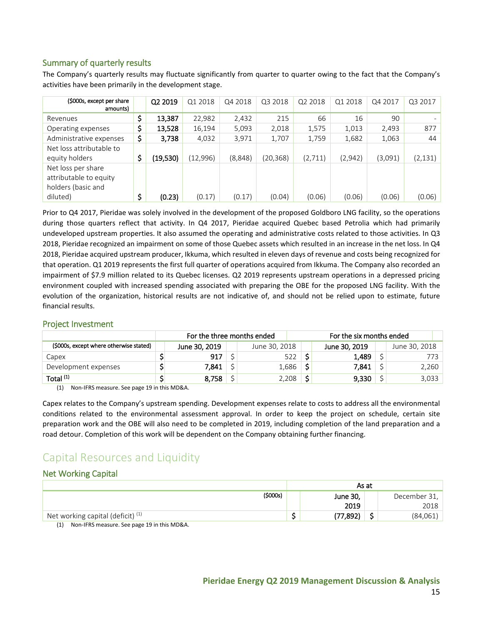## <span id="page-14-0"></span>Summary of quarterly results

The Company's quarterly results may fluctuate significantly from quarter to quarter owing to the fact that the Company's activities have been primarily in the development stage.

| (\$000s, except per share<br>amounts)                              | Q2 2019        | Q1 2018  | Q4 2018 | Q3 2018  | Q2 2018 | Q1 2018 | Q4 2017 | Q3 2017  |
|--------------------------------------------------------------------|----------------|----------|---------|----------|---------|---------|---------|----------|
| Revenues                                                           | \$<br>13,387   | 22,982   | 2,432   | 215      | 66      | 16      | 90      |          |
| Operating expenses                                                 | \$<br>13,528   | 16,194   | 5,093   | 2,018    | 1,575   | 1,013   | 2,493   | 877      |
| Administrative expenses                                            | \$<br>3,738    | 4,032    | 3,971   | 1,707    | 1,759   | 1,682   | 1,063   | 44       |
| Net loss attributable to                                           |                |          |         |          |         |         |         |          |
| equity holders                                                     | \$<br>(19,530) | (12,996) | (8,848) | (20,368) | (2,711) | (2,942) | (3,091) | (2, 131) |
| Net loss per share<br>attributable to equity<br>holders (basic and |                |          |         |          |         |         |         |          |
| diluted)                                                           | \$<br>(0.23)   | (0.17)   | (0.17)  | (0.04)   | (0.06)  | (0.06)  | (0.06)  | (0.06)   |

Prior to Q4 2017, Pieridae was solely involved in the development of the proposed Goldboro LNG facility, so the operations during those quarters reflect that activity. In Q4 2017, Pieridae acquired Quebec based Petrolia which had primarily undeveloped upstream properties. It also assumed the operating and administrative costs related to those activities. In Q3 2018, Pieridae recognized an impairment on some of those Quebec assets which resulted in an increase in the net loss. In Q4 2018, Pieridae acquired upstream producer, Ikkuma, which resulted in eleven days of revenue and costs being recognized for that operation. Q1 2019 represents the first full quarter of operations acquired from Ikkuma. The Company also recorded an impairment of \$7.9 million related to its Quebec licenses. Q2 2019 represents upstream operations in a depressed pricing environment coupled with increased spending associated with preparing the OBE for the proposed LNG facility. With the evolution of the organization, historical results are not indicative of, and should not be relied upon to estimate, future financial results.

## <span id="page-14-1"></span>Project Investment

|                                         | For the three months ended<br>For the six months ended |  |               |   |               |  |               |
|-----------------------------------------|--------------------------------------------------------|--|---------------|---|---------------|--|---------------|
| (\$000s, except where otherwise stated) | June 30, 2019                                          |  | June 30, 2018 |   | June 30, 2019 |  | June 30, 2018 |
| Capex                                   | 917                                                    |  | 522           |   | 1,489         |  | 773.          |
| Development expenses                    | 7,841                                                  |  | 1,686         |   | 7,841         |  | 2,260         |
| Total <sup>(1)</sup>                    | 8,758                                                  |  | 2,208         | ċ | 9,330         |  | 3,033         |

(1) Non-IFRS measure. See page 19 in this MD&A.

Capex relates to the Company's upstream spending. Development expenses relate to costs to address all the environmental conditions related to the environmental assessment approval. In order to keep the project on schedule, certain site preparation work and the OBE will also need to be completed in 2019, including completion of the land preparation and a road detour. Completion of this work will be dependent on the Company obtaining further financing.

## <span id="page-14-2"></span>Capital Resources and Liquidity

## <span id="page-14-3"></span>Net Working Capital

|                                                    |         | As at |          |        |              |  |
|----------------------------------------------------|---------|-------|----------|--------|--------------|--|
|                                                    | (5000s) |       | June 30, |        | December 31, |  |
|                                                    |         |       | 2019     |        | 2018         |  |
| $\overline{ }$ Net working capital (deficit) $(1)$ |         |       | (77,892) | -<br>Э | (84,061)     |  |

(1) Non-IFRS measure. See page 19 in this MD&A.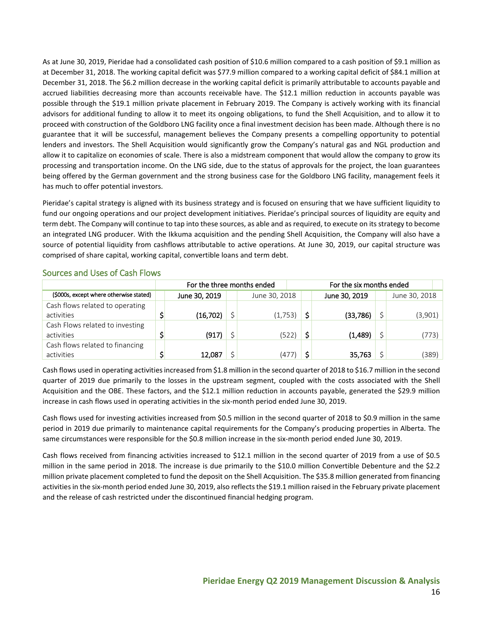As at June 30, 2019, Pieridae had a consolidated cash position of \$10.6 million compared to a cash position of \$9.1 million as at December 31, 2018. The working capital deficit was \$77.9 million compared to a working capital deficit of \$84.1 million at December 31, 2018. The \$6.2 million decrease in the working capital deficit is primarily attributable to accounts payable and accrued liabilities decreasing more than accounts receivable have. The \$12.1 million reduction in accounts payable was possible through the \$19.1 million private placement in February 2019. The Company is actively working with its financial advisors for additional funding to allow it to meet its ongoing obligations, to fund the Shell Acquisition, and to allow it to proceed with construction of the Goldboro LNG facility once a final investment decision has been made. Although there is no guarantee that it will be successful, management believes the Company presents a compelling opportunity to potential lenders and investors. The Shell Acquisition would significantly grow the Company's natural gas and NGL production and allow it to capitalize on economies of scale. There is also a midstream component that would allow the company to grow its processing and transportation income. On the LNG side, due to the status of approvals for the project, the loan guarantees being offered by the German government and the strong business case for the Goldboro LNG facility, management feels it has much to offer potential investors.

Pieridae's capital strategy is aligned with its business strategy and is focused on ensuring that we have sufficient liquidity to fund our ongoing operations and our project development initiatives. Pieridae's principal sources of liquidity are equity and term debt. The Company will continue to tap into these sources, as able and as required, to execute on its strategy to become an integrated LNG producer. With the Ikkuma acquisition and the pending Shell Acquisition, the Company will also have a source of potential liquidity from cashflows attributable to active operations. At June 30, 2019, our capital structure was comprised of share capital, working capital, convertible loans and term debt.

|                                         | For the three months ended |               |  |               |  | For the six months ended |               |  |               |       |  |
|-----------------------------------------|----------------------------|---------------|--|---------------|--|--------------------------|---------------|--|---------------|-------|--|
| (\$000s, except where otherwise stated) |                            | June 30, 2019 |  | June 30, 2018 |  |                          | June 30, 2019 |  | June 30, 2018 |       |  |
| Cash flows related to operating         |                            |               |  |               |  |                          |               |  |               |       |  |
| activities                              |                            | (16, 702)     |  | (1,753)       |  |                          | (33,786)      |  | (3,901)       |       |  |
| Cash Flows related to investing         |                            |               |  |               |  |                          |               |  |               |       |  |
| activities                              |                            | (917)         |  | (522)         |  |                          | (1,489)       |  |               | (773) |  |
| Cash flows related to financing         |                            |               |  |               |  |                          |               |  |               |       |  |
| activities                              |                            | 12,087        |  | (477)         |  |                          | 35,763        |  |               | (389) |  |

## <span id="page-15-0"></span>Sources and Uses of Cash Flows

Cash flows used in operating activities increased from \$1.8 million in the second quarter of 2018 to \$16.7 million in the second quarter of 2019 due primarily to the losses in the upstream segment, coupled with the costs associated with the Shell Acquisition and the OBE. These factors, and the \$12.1 million reduction in accounts payable, generated the \$29.9 million increase in cash flows used in operating activities in the six-month period ended June 30, 2019.

Cash flows used for investing activities increased from \$0.5 million in the second quarter of 2018 to \$0.9 million in the same period in 2019 due primarily to maintenance capital requirements for the Company's producing properties in Alberta. The same circumstances were responsible for the \$0.8 million increase in the six-month period ended June 30, 2019.

Cash flows received from financing activities increased to \$12.1 million in the second quarter of 2019 from a use of \$0.5 million in the same period in 2018. The increase is due primarily to the \$10.0 million Convertible Debenture and the \$2.2 million private placement completed to fund the deposit on the Shell Acquisition. The \$35.8 million generated from financing activities in the six-month period ended June 30, 2019, also reflects the \$19.1 million raised in the February private placement and the release of cash restricted under the discontinued financial hedging program.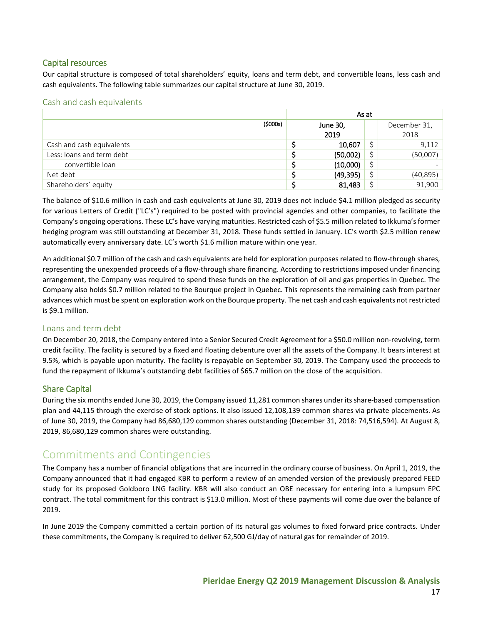## <span id="page-16-0"></span>Capital resources

Our capital structure is composed of total shareholders' equity, loans and term debt, and convertible loans, less cash and cash equivalents. The following table summarizes our capital structure at June 30, 2019.

### <span id="page-16-1"></span>Cash and cash equivalents

|                           | As at |           |    |              |  |  |
|---------------------------|-------|-----------|----|--------------|--|--|
| (\$000s)                  |       | June 30,  |    | December 31, |  |  |
|                           |       | 2019      |    | 2018         |  |  |
| Cash and cash equivalents |       | 10,607    |    | 9,112        |  |  |
| Less: loans and term debt |       | (50,002)  |    | (50,007)     |  |  |
| convertible loan          |       | (10,000)  | \$ |              |  |  |
| Net debt                  |       | (49, 395) | \$ | (40, 895)    |  |  |
| Shareholders' equity      |       | 81,483    |    | 91,900       |  |  |

The balance of \$10.6 million in cash and cash equivalents at June 30, 2019 does not include \$4.1 million pledged as security for various Letters of Credit ("LC's") required to be posted with provincial agencies and other companies, to facilitate the Company's ongoing operations. These LC's have varying maturities. Restricted cash of \$5.5 million related to Ikkuma's former hedging program was still outstanding at December 31, 2018. These funds settled in January. LC's worth \$2.5 million renew automatically every anniversary date. LC's worth \$1.6 million mature within one year.

An additional \$0.7 million of the cash and cash equivalents are held for exploration purposes related to flow-through shares, representing the unexpended proceeds of a flow-through share financing. According to restrictions imposed under financing arrangement, the Company was required to spend these funds on the exploration of oil and gas properties in Quebec. The Company also holds \$0.7 million related to the Bourque project in Quebec. This represents the remaining cash from partner advances which must be spent on exploration work on the Bourque property. The net cash and cash equivalents not restricted is \$9.1 million.

## <span id="page-16-2"></span>Loans and term debt

On December 20, 2018, the Company entered into a Senior Secured Credit Agreement for a \$50.0 million non-revolving, term credit facility. The facility is secured by a fixed and floating debenture over all the assets of the Company. It bears interest at 9.5%, which is payable upon maturity. The facility is repayable on September 30, 2019. The Company used the proceeds to fund the repayment of Ikkuma's outstanding debt facilities of \$65.7 million on the close of the acquisition.

## <span id="page-16-3"></span>Share Capital

During the six months ended June 30, 2019, the Company issued 11,281 common shares under its share-based compensation plan and 44,115 through the exercise of stock options. It also issued 12,108,139 common shares via private placements. As of June 30, 2019, the Company had 86,680,129 common shares outstanding (December 31, 2018: 74,516,594). At August 8, 2019, 86,680,129 common shares were outstanding.

## <span id="page-16-4"></span>Commitments and Contingencies

The Company has a number of financial obligations that are incurred in the ordinary course of business. On April 1, 2019, the Company announced that it had engaged KBR to perform a review of an amended version of the previously prepared FEED study for its proposed Goldboro LNG facility. KBR will also conduct an OBE necessary for entering into a lumpsum EPC contract. The total commitment for this contract is \$13.0 million. Most of these payments will come due over the balance of 2019.

In June 2019 the Company committed a certain portion of its natural gas volumes to fixed forward price contracts. Under these commitments, the Company is required to deliver 62,500 GJ/day of natural gas for remainder of 2019.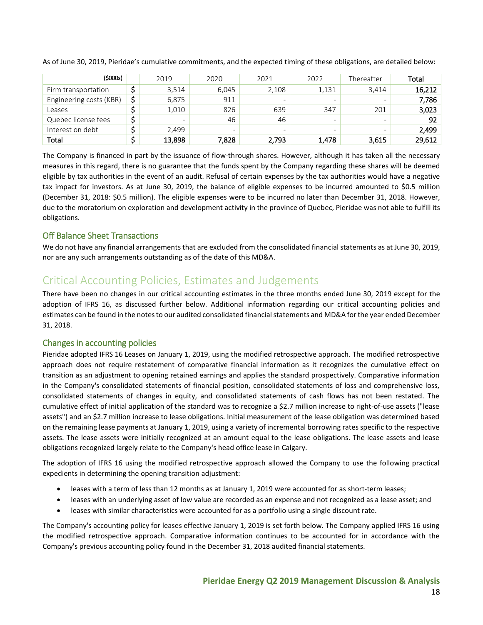| (\$000s)                | 2019                         | 2020  | 2021  | 2022                     | Thereafter               | Total  |
|-------------------------|------------------------------|-------|-------|--------------------------|--------------------------|--------|
| Firm transportation     | 3,514                        | 6.045 | 2,108 | 1,131                    | 3.414                    | 16,212 |
| Engineering costs (KBR) | \$<br>6,875                  | 911   | -     |                          | $\overline{\phantom{0}}$ | 7,786  |
| Leases                  | 1,010                        | 826   | 639   | 347                      | 201                      | 3,023  |
| Quebec license fees     | $\qquad \qquad \blacksquare$ | 46    | 46    | $\overline{\phantom{0}}$ | $\overline{\phantom{0}}$ | 92     |
| Interest on debt        | 2.499                        | -     | -     | -                        | $\overline{\phantom{0}}$ | 2.499  |
| Total                   | 13,898                       | 7.828 | 2,793 | 1,478                    | 3,615                    | 29,612 |

As of June 30, 2019, Pieridae's cumulative commitments, and the expected timing of these obligations, are detailed below:

The Company is financed in part by the issuance of flow-through shares. However, although it has taken all the necessary measures in this regard, there is no guarantee that the funds spent by the Company regarding these shares will be deemed eligible by tax authorities in the event of an audit. Refusal of certain expenses by the tax authorities would have a negative tax impact for investors. As at June 30, 2019, the balance of eligible expenses to be incurred amounted to \$0.5 million (December 31, 2018: \$0.5 million). The eligible expenses were to be incurred no later than December 31, 2018. However, due to the moratorium on exploration and development activity in the province of Quebec, Pieridae was not able to fulfill its obligations.

## <span id="page-17-0"></span>Off Balance Sheet Transactions

We do not have any financial arrangements that are excluded from the consolidated financial statements as at June 30, 2019, nor are any such arrangements outstanding as of the date of this MD&A.

## <span id="page-17-1"></span>Critical Accounting Policies, Estimates and Judgements

There have been no changes in our critical accounting estimates in the three months ended June 30, 2019 except for the adoption of IFRS 16, as discussed further below. Additional information regarding our critical accounting policies and estimates can be found in the notes to our audited consolidated financial statements and MD&A for the year ended December 31, 2018.

## <span id="page-17-2"></span>Changes in accounting policies

Pieridae adopted IFRS 16 Leases on January 1, 2019, using the modified retrospective approach. The modified retrospective approach does not require restatement of comparative financial information as it recognizes the cumulative effect on transition as an adjustment to opening retained earnings and applies the standard prospectively. Comparative information in the Company's consolidated statements of financial position, consolidated statements of loss and comprehensive loss, consolidated statements of changes in equity, and consolidated statements of cash flows has not been restated. The cumulative effect of initial application of the standard was to recognize a \$2.7 million increase to right-of-use assets ("lease assets") and an \$2.7 million increase to lease obligations. Initial measurement of the lease obligation was determined based on the remaining lease payments at January 1, 2019, using a variety of incremental borrowing rates specific to the respective assets. The lease assets were initially recognized at an amount equal to the lease obligations. The lease assets and lease obligations recognized largely relate to the Company's head office lease in Calgary.

The adoption of IFRS 16 using the modified retrospective approach allowed the Company to use the following practical expedients in determining the opening transition adjustment:

- leases with a term of less than 12 months as at January 1, 2019 were accounted for as short-term leases;
- leases with an underlying asset of low value are recorded as an expense and not recognized as a lease asset; and
- leases with similar characteristics were accounted for as a portfolio using a single discount rate.

The Company's accounting policy for leases effective January 1, 2019 is set forth below. The Company applied IFRS 16 using the modified retrospective approach. Comparative information continues to be accounted for in accordance with the Company's previous accounting policy found in the December 31, 2018 audited financial statements.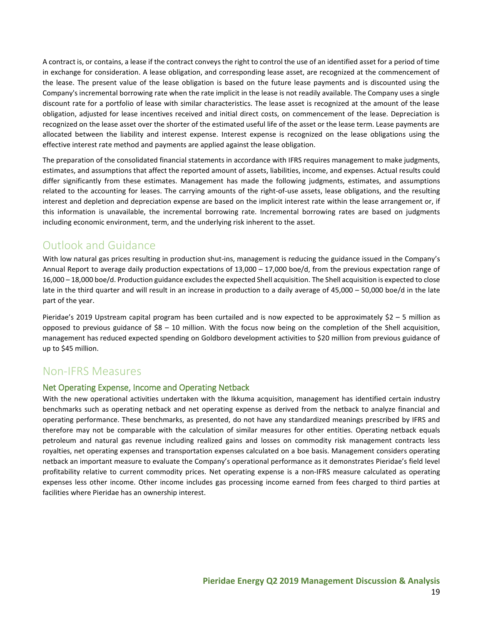A contract is, or contains, a lease if the contract conveys the right to control the use of an identified asset for a period of time in exchange for consideration. A lease obligation, and corresponding lease asset, are recognized at the commencement of the lease. The present value of the lease obligation is based on the future lease payments and is discounted using the Company's incremental borrowing rate when the rate implicit in the lease is not readily available. The Company uses a single discount rate for a portfolio of lease with similar characteristics. The lease asset is recognized at the amount of the lease obligation, adjusted for lease incentives received and initial direct costs, on commencement of the lease. Depreciation is recognized on the lease asset over the shorter of the estimated useful life of the asset or the lease term. Lease payments are allocated between the liability and interest expense. Interest expense is recognized on the lease obligations using the effective interest rate method and payments are applied against the lease obligation.

The preparation of the consolidated financial statements in accordance with IFRS requires management to make judgments, estimates, and assumptions that affect the reported amount of assets, liabilities, income, and expenses. Actual results could differ significantly from these estimates. Management has made the following judgments, estimates, and assumptions related to the accounting for leases. The carrying amounts of the right-of-use assets, lease obligations, and the resulting interest and depletion and depreciation expense are based on the implicit interest rate within the lease arrangement or, if this information is unavailable, the incremental borrowing rate. Incremental borrowing rates are based on judgments including economic environment, term, and the underlying risk inherent to the asset.

## <span id="page-18-0"></span>Outlook and Guidance

With low natural gas prices resulting in production shut-ins, management is reducing the guidance issued in the Company's Annual Report to average daily production expectations of 13,000 – 17,000 boe/d, from the previous expectation range of 16,000 – 18,000 boe/d. Production guidance excludes the expected Shell acquisition. The Shell acquisition is expected to close late in the third quarter and will result in an increase in production to a daily average of 45,000 – 50,000 boe/d in the late part of the year.

Pieridae's 2019 Upstream capital program has been curtailed and is now expected to be approximately \$2 – 5 million as opposed to previous guidance of  $$8 - 10$  million. With the focus now being on the completion of the Shell acquisition, management has reduced expected spending on Goldboro development activities to \$20 million from previous guidance of up to \$45 million.

## <span id="page-18-1"></span>Non-IFRS Measures

## <span id="page-18-2"></span>Net Operating Expense, Income and Operating Netback

With the new operational activities undertaken with the Ikkuma acquisition, management has identified certain industry benchmarks such as operating netback and net operating expense as derived from the netback to analyze financial and operating performance. These benchmarks, as presented, do not have any standardized meanings prescribed by IFRS and therefore may not be comparable with the calculation of similar measures for other entities. Operating netback equals petroleum and natural gas revenue including realized gains and losses on commodity risk management contracts less royalties, net operating expenses and transportation expenses calculated on a boe basis. Management considers operating netback an important measure to evaluate the Company's operational performance as it demonstrates Pieridae's field level profitability relative to current commodity prices. Net operating expense is a non-IFRS measure calculated as operating expenses less other income. Other income includes gas processing income earned from fees charged to third parties at facilities where Pieridae has an ownership interest.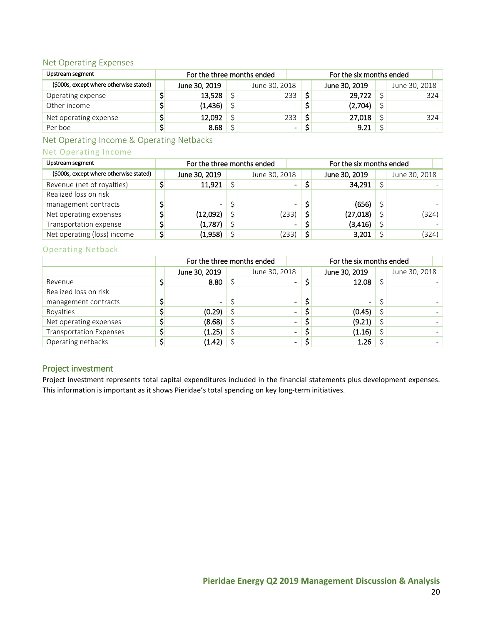## <span id="page-19-0"></span>Net Operating Expenses

| Upstream segment                        | For the three months ended |               | For the six months ended |               |  |               |  |
|-----------------------------------------|----------------------------|---------------|--------------------------|---------------|--|---------------|--|
| (\$000s, except where otherwise stated) | June 30, 2019              | June 30, 2018 |                          | June 30, 2019 |  | June 30, 2018 |  |
| Operating expense                       | 13,528                     | 233           |                          | 29,722        |  | 324           |  |
| Other income                            | (1,436)                    | $\equiv$      |                          | (2,704)       |  |               |  |
| Net operating expense                   | 12,092                     | 233           |                          | 27,018        |  | 324           |  |
| Per boe                                 | 8.68                       | ۰.            |                          | 9.21          |  |               |  |

<span id="page-19-1"></span>Net Operating Income & Operating Netbacks

## Net Operating Income

| Upstream segment                        | For the three months ended |                | For the six months ended |               |  |               |
|-----------------------------------------|----------------------------|----------------|--------------------------|---------------|--|---------------|
| (\$000s, except where otherwise stated) | June 30, 2019              | June 30, 2018  |                          | June 30, 2019 |  | June 30, 2018 |
| Revenue (net of royalties)              | 11,921                     | -              |                          | 34,291        |  |               |
| Realized loss on risk                   |                            |                |                          |               |  |               |
| management contracts                    | $\overline{\phantom{0}}$   | $\blacksquare$ |                          | (656)         |  |               |
| Net operating expenses                  | (12,092)                   | (233)          | \$                       | (27, 018)     |  | (324)         |
| Transportation expense                  | (1,787)                    | $\blacksquare$ |                          | (3, 416)      |  |               |
| Net operating (loss) income             | (1,958)                    | 233)           |                          | 3,201         |  | (324)         |

## Operating Netback

|                                | For the three months ended |                          | For the six months ended |                |  |               |  |  |
|--------------------------------|----------------------------|--------------------------|--------------------------|----------------|--|---------------|--|--|
|                                | June 30, 2019              | June 30, 2018            |                          | June 30, 2019  |  | June 30, 2018 |  |  |
| Revenue                        | 8.80                       | $\overline{\phantom{0}}$ |                          | 12.08          |  |               |  |  |
| Realized loss on risk          |                            |                          |                          |                |  |               |  |  |
| management contracts           | $\blacksquare$             | $\blacksquare$           |                          | $\blacksquare$ |  |               |  |  |
| Royalties                      | (0.29)                     | $\blacksquare$           |                          | (0.45)         |  |               |  |  |
| Net operating expenses         | (8.68)                     | $\blacksquare$           |                          | (9.21)         |  |               |  |  |
| <b>Transportation Expenses</b> | (1.25)                     | $\overline{\phantom{0}}$ |                          | (1.16)         |  |               |  |  |
| Operating netbacks             | (1.42)                     | -                        |                          | 1.26           |  |               |  |  |

## <span id="page-19-2"></span>Project investment

Project investment represents total capital expenditures included in the financial statements plus development expenses. This information is important as it shows Pieridae's total spending on key long-term initiatives.